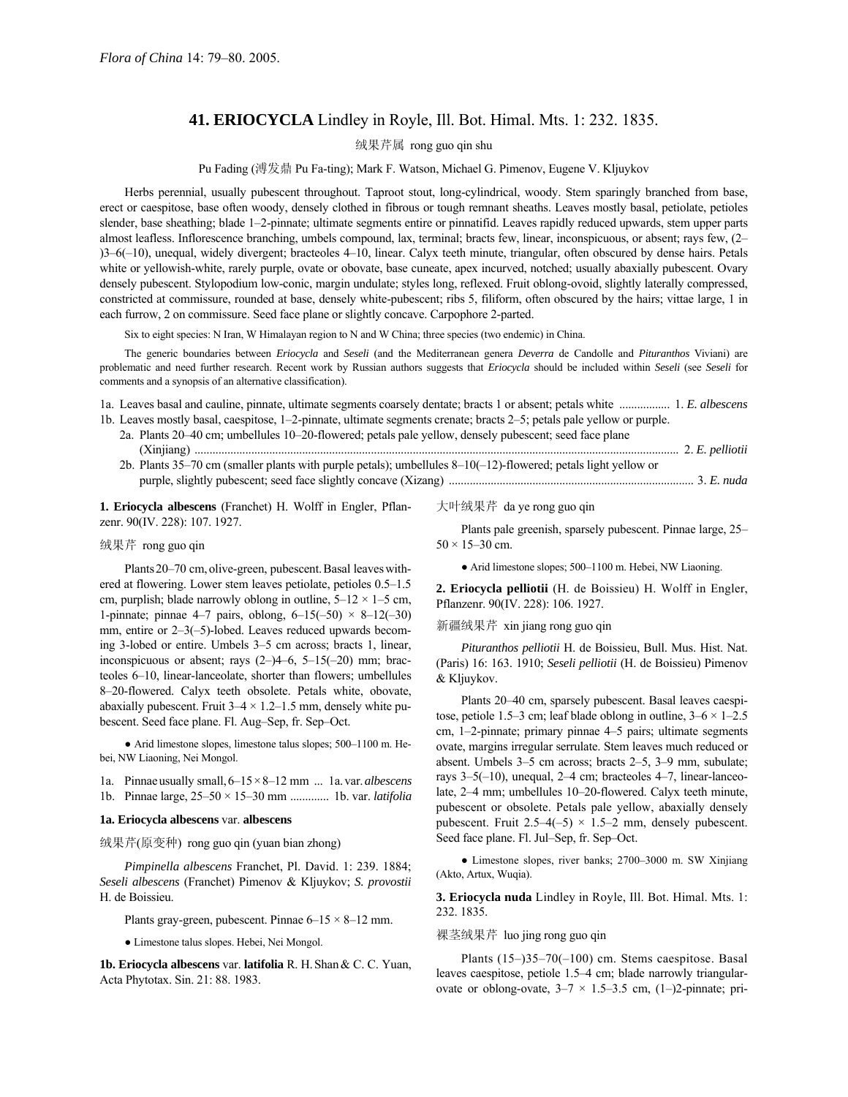# **41. ERIOCYCLA** Lindley in Royle, Ill. Bot. Himal. Mts. 1: 232. 1835.

绒果芹属 rong guo qin shu

Pu Fading (溥发鼎 Pu Fa-ting); Mark F. Watson, Michael G. Pimenov, Eugene V. Kljuykov

Herbs perennial, usually pubescent throughout. Taproot stout, long-cylindrical, woody. Stem sparingly branched from base, erect or caespitose, base often woody, densely clothed in fibrous or tough remnant sheaths. Leaves mostly basal, petiolate, petioles slender, base sheathing; blade 1-2-pinnate; ultimate segments entire or pinnatifid. Leaves rapidly reduced upwards, stem upper parts almost leafless. Inflorescence branching, umbels compound, lax, terminal; bracts few, linear, inconspicuous, or absent; rays few, (2–  $(3-6(-10))$ , unequal, widely divergent; bracteoles 4–10, linear. Calyx teeth minute, triangular, often obscured by dense hairs. Petals white or yellowish-white, rarely purple, ovate or obovate, base cuneate, apex incurved, notched; usually abaxially pubescent. Ovary densely pubescent. Stylopodium low-conic, margin undulate; styles long, reflexed. Fruit oblong-ovoid, slightly laterally compressed, constricted at commissure, rounded at base, densely white-pubescent; ribs 5, filiform, often obscured by the hairs; vittae large, 1 in each furrow, 2 on commissure. Seed face plane or slightly concave. Carpophore 2-parted.

Six to eight species: N Iran, W Himalayan region to N and W China; three species (two endemic) in China.

The generic boundaries between *Eriocycla* and *Seseli* (and the Mediterranean genera *Deverra* de Candolle and *Pituranthos* Viviani) are problematic and need further research. Recent work by Russian authors suggests that *Eriocycla* should be included within *Seseli* (see *Seseli* for comments and a synopsis of an alternative classification).

| 1a. Leaves basal and cauline, pinnate, ultimate segments coarsely dentate; bracts 1 or absent; petals white  1. E. albescens |  |
|------------------------------------------------------------------------------------------------------------------------------|--|
| 1b. Leaves mostly basal, caespitose, 1-2-pinnate, ultimate segments crenate; bracts 2-5; petals pale yellow or purple.       |  |
| 2a. Plants 20–40 cm; umbellules 10–20-flowered; petals pale yellow, densely pubescent; seed face plane                       |  |
|                                                                                                                              |  |
| 2b. Plants 35–70 cm (smaller plants with purple petals); umbellules $8-10(-12)$ -flowered; petals light yellow or            |  |
|                                                                                                                              |  |

**1. Eriocycla albescens** (Franchet) H. Wolff in Engler, Pflanzenr. 90(IV. 228): 107. 1927.

#### 绒果芹 rong guo qin

Plants 20-70 cm, olive-green, pubescent. Basal leaves withered at flowering. Lower stem leaves petiolate, petioles  $0.5-1.5$ cm, purplish; blade narrowly oblong in outline,  $5-12 \times 1-5$  cm, 1-pinnate; pinnae 4–7 pairs, oblong,  $6-15(-50) \times 8-12(-30)$ mm, entire or  $2-3(-5)$ -lobed. Leaves reduced upwards becoming 3-lobed or entire. Umbels 3–5 cm across; bracts 1, linear, inconspicuous or absent; rays  $(2-)4-6$ , 5 $-15(-20)$  mm; bracteoles 6-10, linear-lanceolate, shorter than flowers; umbellules 8–20-flowered. Calyx teeth obsolete. Petals white, obovate, abaxially pubescent. Fruit  $3-4 \times 1.2-1.5$  mm, densely white pubescent. Seed face plane. Fl. Aug–Sep, fr. Sep–Oct.

 $\bullet$  Arid limestone slopes, limestone talus slopes; 500-1100 m. Hebei, NW Liaoning, Nei Mongol.

1a. Pinnaeusually small,  $6-15\times8-12$  mm ... 1a.var.*albescens* 1b. Pinnae large,  $25-50 \times 15-30$  mm .............. 1b. var. *latifolia* 

#### **1a. Eriocycla albescens** var. **albescens**

绒果芹(原变种) rong guo qin (yuan bian zhong)

*Pimpinella albescens* Franchet, Pl. David. 1: 239. 1884; *Seseli albescens* (Franchet) Pimenov & Kljuykov; *S. provostii* H. de Boissieu.

Plants gray-green, pubescent. Pinnae  $6-15 \times 8-12$  mm.

● Limestone talus slopes. Hebei, Nei Mongol.

**1b. Eriocycla albescens** var. **latifolia** R. H.Shan& C. C. Yuan, Acta Phytotax. Sin. 21: 88. 1983.

大叶绒果芹 da ye rong guo qin

Plants pale greenish, sparsely pubescent. Pinnae large, 25–  $50 \times 15 - 30$  cm.

• Arid limestone slopes; 500–1100 m. Hebei, NW Liaoning.

**2. Eriocycla pelliotii** (H. de Boissieu) H. Wolff in Engler, Pflanzenr. 90(IV. 228): 106. 1927.

### 新疆绒果芹 xin jiang rong guo qin

*Pituranthos pelliotii* H. de Boissieu, Bull. Mus. Hist. Nat. (Paris) 16: 163. 1910; *Seseli pelliotii* (H. de Boissieu) Pimenov & Kljuykov.

Plants 20-40 cm, sparsely pubescent. Basal leaves caespitose, petiole 1.5–3 cm; leaf blade oblong in outline,  $3-6 \times 1-2.5$ cm,  $1-2$ -pinnate; primary pinnae  $4-5$  pairs; ultimate segments ovate, margins irregular serrulate. Stem leaves much reduced or absent. Umbels 3-5 cm across; bracts 2-5, 3-9 mm, subulate; rays  $3-5(-10)$ , unequal,  $2-4$  cm; bracteoles  $4-7$ , linear-lanceolate, 2–4 mm; umbellules 10–20-flowered. Calyx teeth minute, pubescent or obsolete. Petals pale yellow, abaxially densely pubescent. Fruit 2.5–4(-5)  $\times$  1.5–2 mm, densely pubescent. Seed face plane. Fl. Jul-Sep, fr. Sep-Oct.

• Limestone slopes, river banks; 2700-3000 m. SW Xinjiang (Akto, Artux, Wuqia).

**3. Eriocycla nuda** Lindley in Royle, Ill. Bot. Himal. Mts. 1: 232. 1835.

### 裸茎绒果芹 luo jing rong guo qin

Plants  $(15–)35–70(-100)$  cm. Stems caespitose. Basal leaves caespitose, petiole 1.5-4 cm; blade narrowly triangularovate or oblong-ovate,  $3-7 \times 1.5-3.5$  cm, (1-)2-pinnate; pri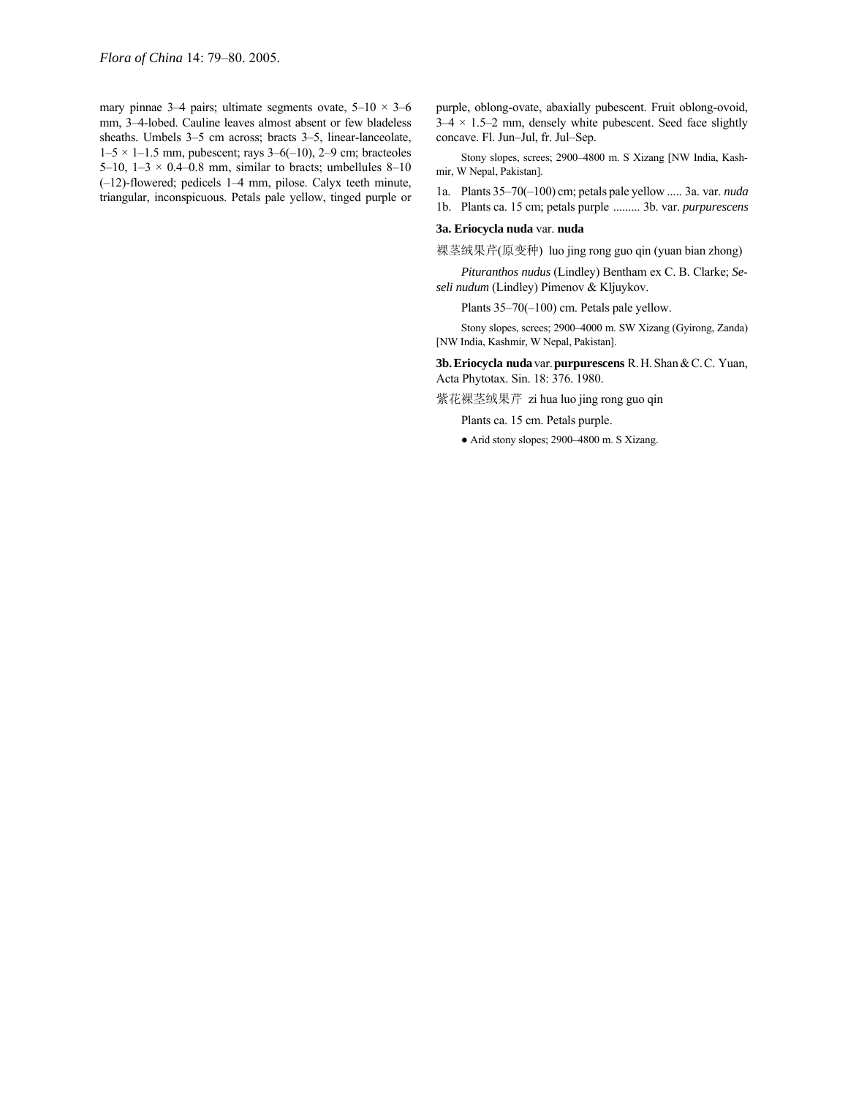mary pinnae 3–4 pairs; ultimate segments ovate,  $5-10 \times 3-6$ mm, 3-4-lobed. Cauline leaves almost absent or few bladeless sheaths. Umbels 3-5 cm across; bracts 3-5, linear-lanceolate,  $1-5 \times 1-1.5$  mm, pubescent; rays 3–6(-10), 2–9 cm; bracteoles 5–10, 1–3  $\times$  0.4–0.8 mm, similar to bracts; umbellules 8–10  $(-12)$ -flowered; pedicels 1–4 mm, pilose. Calyx teeth minute, triangular, inconspicuous. Petals pale yellow, tinged purple or purple, oblong-ovate, abaxially pubescent. Fruit oblong-ovoid,  $3-4 \times 1.5-2$  mm, densely white pubescent. Seed face slightly concave. Fl. Jun-Jul, fr. Jul-Sep.

Stony slopes, screes; 2900-4800 m. S Xizang [NW India, Kashmir, W Nepal, Pakistan].

1a. Plants 35–70(-100) cm; petals pale yellow ..... 3a. var. *nuda* 

1b. Plants ca. 15 cm; petals purple ......... 3b. var. *purpurescens*

## **3a. Eriocycla nuda** var. **nuda**

裸茎绒果芹(原变种) luo jing rong guo qin (yuan bian zhong)

*Pituranthos nudus* (Lindley) Bentham ex C. B. Clarke; *Seseli nudum* (Lindley) Pimenov & Kljuykov.

Plants  $35-70(-100)$  cm. Petals pale yellow.

Stony slopes, screes; 2900-4000 m. SW Xizang (Gyirong, Zanda) [NW India, Kashmir, W Nepal, Pakistan].

**3b.Eriocycla nuda** var.**purpurescens** R.H.Shan&C.C. Yuan, Acta Phytotax. Sin. 18: 376. 1980.

紫花裸茎绒果芹 zi hua luo jing rong guo qin

Plants ca. 15 cm. Petals purple.

• Arid stony slopes; 2900-4800 m. S Xizang.